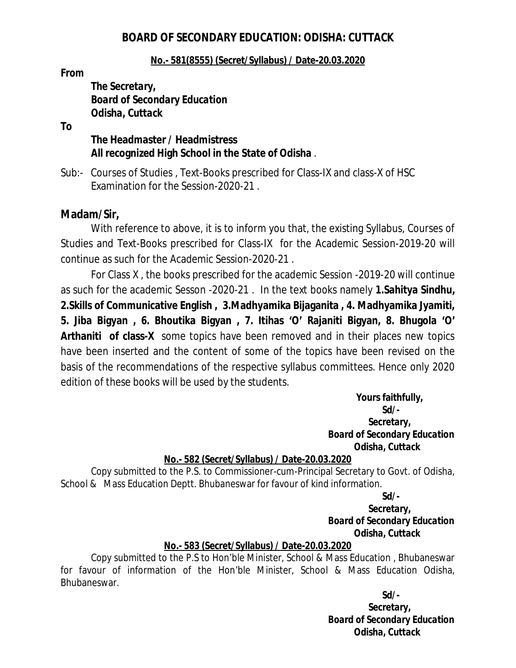# *BOARD OF SECONDARY EDUCATION: ODISHA: CUTTACK*

## **No.- 581(8555) (Secret/Syllabus) / Date-20.03.2020**

*From* 

*The Secretary, Board of Secondary Education Odisha, Cuttack*

**To**

# **The Headmaster / Headmistress All recognized High School in the State of Odisha** .

Sub:- Courses of Studies , Text-Books prescribed for Class-IX and class-X of HSC Examination for the Session-2020-21 .

# **Madam/Sir,**

With reference to above, it is to inform you that, the existing Syllabus, Courses of Studies and Text-Books prescribed for Class-IX for the Academic Session-2019-20 will continue as such for the Academic Session-2020-21 .

For Class X , the books prescribed for the academic Session -2019-20 will continue as such for the academic Sesson -2020-21 . In the text books namely **1.Sahitya Sindhu, 2.Skills of Communicative English , 3.Madhyamika Bijaganita , 4. Madhyamika Jyamiti, 5. Jiba Bigyan , 6. Bhoutika Bigyan , 7. Itihas 'O' Rajaniti Bigyan, 8. Bhugola 'O' Arthaniti of class-X** some topics have been removed and in their places new topics have been inserted and the content of some of the topics have been revised on the basis of the recommendations of the respective syllabus committees. Hence only 2020 edition of these books will be used by the students.

> **Yours faithfully,**  *Sd/- Secretary, Board of Secondary Education Odisha, Cuttack*

# **No.- 582 (Secret/Syllabus) / Date-20.03.2020**

Copy submitted to the P.S. to Commissioner-cum-Principal Secretary to Govt. of Odisha, School & Mass Education Deptt. Bhubaneswar for favour of kind information.

 *Sd/-*

 *Secretary, Board of Secondary Education Odisha, Cuttack*

# **No.- 583 (Secret/Syllabus) / Date-20.03.2020**

Copy submitted to the P.S to Hon'ble Minister, School & Mass Education , Bhubaneswar for favour of information of the Hon'ble Minister, School & Mass Education Odisha, Bhubaneswar.

 *Sd/-*

 *Secretary, Board of Secondary Education Odisha, Cuttack*